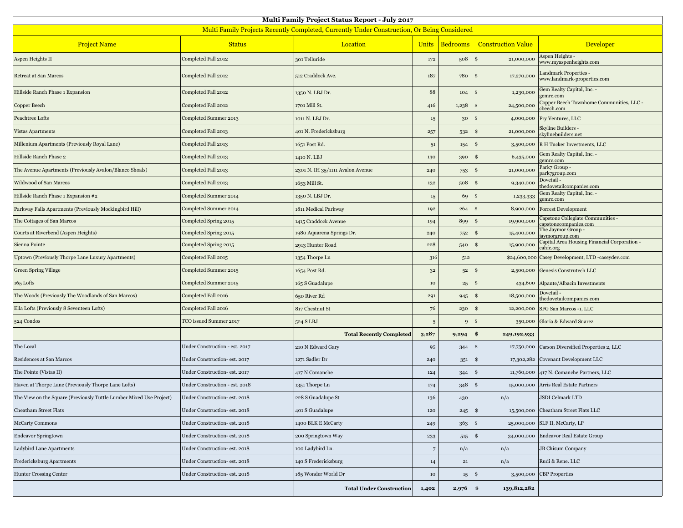| <b>Multi Family Project Status Report - July 2017</b>                                              |                                |                                  |                |                  |                             |                                                             |  |  |  |  |
|----------------------------------------------------------------------------------------------------|--------------------------------|----------------------------------|----------------|------------------|-----------------------------|-------------------------------------------------------------|--|--|--|--|
| <b>Multi Family Projects Recently Completed, Currently Under Construction, Or Being Considered</b> |                                |                                  |                |                  |                             |                                                             |  |  |  |  |
| <b>Project Name</b>                                                                                | <b>Status</b>                  | Location                         | <b>Units</b>   | <b>Bedrooms</b>  | <b>Construction Value</b>   | Developer                                                   |  |  |  |  |
| Aspen Heights II                                                                                   | Completed Fall 2012            | 301 Telluride                    | $172\,$        | 508              | \$<br>21,000,000            | Aspen Heights -<br>www.myaspenheights.com                   |  |  |  |  |
| Retreat at San Marcos                                                                              | Completed Fall 2012            | 512 Craddock Ave.                | 187            | 780              | \$<br>17,270,000            | <b>Landmark Properties -</b><br>www.landmark-properties.com |  |  |  |  |
| Hillside Ranch Phase 1 Expansion                                                                   | Completed Fall 2012            | 1350 N. LBJ Dr.                  | 88             | 104              | 1,230,000<br>\$             | Gem Realty Capital, Inc. -<br>gemrc.com                     |  |  |  |  |
| Copper Beech                                                                                       | Completed Fall 2012            | 1701 Mill St.                    | 416            | 1,238            | 24,500,000<br>\$            | Copper Beech Townhome Communities, LLC -<br>cbeech.com      |  |  |  |  |
| Peachtree Lofts                                                                                    | Completed Summer 2013          | 1011 N. LBJ Dr.                  | $15\,$         | $30\,$           | \$<br>4,000,000             | Fry Ventures, LLC                                           |  |  |  |  |
| Vistas Apartments                                                                                  | Completed Fall 2013            | 401 N. Fredericksburg            | 257            | 532              | 21,000,000<br>\$            | Skyline Builders -<br>skylinebuilders.net                   |  |  |  |  |
| Millenium Apartments (Previously Royal Lane)                                                       | Completed Fall 2013            | 1651 Post Rd.                    | 51             | 154              | \$<br>3,500,000             | R H Tucker Investments, LLC                                 |  |  |  |  |
| Hillside Ranch Phase 2                                                                             | Completed Fall 2013            | 1410 N. LBJ                      | $130\,$        | 390              | 6,435,000<br>\$             | Gem Realty Capital, Inc. -<br>gemrc.com                     |  |  |  |  |
| The Avenue Apartments (Previously Avalon/Blanco Shoals)                                            | Completed Fall 2013            | 2301 N. IH 35/1111 Avalon Avenue | 240            | 753              | 21,000,000<br>\$            | Park7 Group -<br>park7group.com                             |  |  |  |  |
| Wildwood of San Marcos                                                                             | Completed Fall 2013            | 1653 Mill St.                    | $132\,$        | 508              | 9,340,000<br>\$             | Dovetail -<br>thedovetailcompanies.com                      |  |  |  |  |
| Hillside Ranch Phase 1 Expansion #2                                                                | Completed Summer 2014          | 1350 N. LBJ Dr.                  | 15             | 69               | \$<br>1,233,333             | Gem Realty Capital, Inc. -<br>gemrc.com                     |  |  |  |  |
| Parkway Falls Apartments (Previously Mockingbird Hill)                                             | Completed Summer 2014          | 1811 Medical Parkway             | 192            | 264              | 8,900,000<br>\$             | <b>Forrest Development</b>                                  |  |  |  |  |
| The Cottages of San Marcos                                                                         | Completed Spring 2015          | 1415 Craddock Avenue             | 194            | 899              | 19,900,000<br>\$            | Capstone Collegiate Communities -<br>capstonecompanies.com  |  |  |  |  |
| Courts at Riverbend (Aspen Heights)                                                                | Completed Spring 2015          | 1980 Aquarena Springs Dr.        | 240            | 752              | \$<br>15,400,000            | The Jaymor Group -<br>aymorgroup.com                        |  |  |  |  |
| Sienna Pointe                                                                                      | Completed Spring 2015          | 2913 Hunter Road                 | 228            | 540              | 15,900,000<br>\$            | Capital Area Housing Financial Corporation -<br>cahfc.org   |  |  |  |  |
| Uptown (Previously Thorpe Lane Luxury Apartments)                                                  | Completed Fall 2015            | 1354 Thorpe Ln                   | 316            | 512              |                             | \$24,600,000 Casey Development, LTD -caseydev.com           |  |  |  |  |
| Green Spring Village                                                                               | Completed Summer 2015          | 1654 Post Rd.                    | $3^{\rm 2}$    | $5^{\rm 2}$      | \$<br>2,500,000             | Genesis Construtech LLC                                     |  |  |  |  |
| 165 Lofts                                                                                          | Completed Summer 2015          | 165 S Guadalupe                  | $10\,$         | $^{25}$          | 434,600<br>\$               | Alpante/Albacin Investments                                 |  |  |  |  |
| The Woods (Previously The Woodlands of San Marcos)                                                 | Completed Fall 2016            | 650 River Rd                     | 291            | 945              | 18,500,000<br>\$            | Dovetail<br>thedovetailcompanies.com                        |  |  |  |  |
| Ella Lofts (Previously 8 Seventeen Lofts)                                                          | Completed Fall 2016            | 817 Chestnut St                  | 76             | 230              | \$<br>12,200,000            | SFG San Marcos -1, LLC                                      |  |  |  |  |
| 524 Condos                                                                                         | TCO issued Summer 2017         | 524 S LBJ                        | 5              | 9                | \$<br>350,000               | Gloria & Edward Suarez                                      |  |  |  |  |
|                                                                                                    |                                | <b>Total Recently Completed</b>  | 3,287          | 9,294            | \$<br>249,192,933           |                                                             |  |  |  |  |
| The Local                                                                                          | Under Construction - est. 2017 | 210 N Edward Gary                | 95             | 344              | \$<br>17,750,000            | Carson Diversified Properties 2, LLC                        |  |  |  |  |
| Residences at San Marcos                                                                           | Under Construction- est. 2017  | 1271 Sadler Dr                   | 240            | 351              | \$<br>17,302,282            | Covenant Development LLC                                    |  |  |  |  |
| The Pointe (Vistas II)                                                                             | Under Construction- est. 2017  | 417 N Comanche                   | 124            | 344              | \$<br>11,760,000            | 417 N. Comanche Partners, LLC                               |  |  |  |  |
| Haven at Thorpe Lane (Previously Thorpe Lane Lofts)                                                | Under Construction - est. 2018 | 1351 Thorpe Ln                   | 174            | 348              | \$<br>15,000,000            | Arris Real Estate Partners                                  |  |  |  |  |
| The View on the Square (Previously Tuttle Lumber Mixed Use Project)                                | Under Construction- est. 2018  | 228 S Guadalupe St               | 136            | 430              | n/a                         | <b>JSDI Celmark LTD</b>                                     |  |  |  |  |
| <b>Cheatham Street Flats</b>                                                                       | Under Construction- est. 2018  | 401 S Guadalupe                  | 120            | 245              | \$<br>15,500,000            | Cheatham Street Flats LLC                                   |  |  |  |  |
| McCarty Commons                                                                                    | Under Construction- est. 2018  | 1400 BLK E McCarty               | 249            | 363              | $\mathbf{\$}$<br>25,000,000 | SLF II, McCarty, LP                                         |  |  |  |  |
| <b>Endeavor Springtown</b>                                                                         | Under Construction- est. 2018  | 200 Springtown Way               | 233            | 515              | \$<br>34,000,000            | <b>Endeavor Real Estate Group</b>                           |  |  |  |  |
| Ladybird Lane Apartments                                                                           | Under Construction- est. 2018  | 100 Ladybird Ln.                 | $\overline{7}$ | n/a              | n/a                         | JB Chisum Company                                           |  |  |  |  |
| Fredericksburg Apartments                                                                          | Under Construction- est. 2018  | 140 S Fredericksburg             | $14\,$         | $\bf{21}$        | n/a                         | Rudi & Rene. LLC                                            |  |  |  |  |
| Hunter Crossing Center                                                                             | Under Construction- est. 2018  | 185 Wonder World Dr              | $10\,$         | 15 <sub>15</sub> | \$<br>3,500,000             | <b>CBP</b> Properties                                       |  |  |  |  |
|                                                                                                    |                                | <b>Total Under Construction</b>  | 1,402          | 2,976            | \$<br>139,812,282           |                                                             |  |  |  |  |